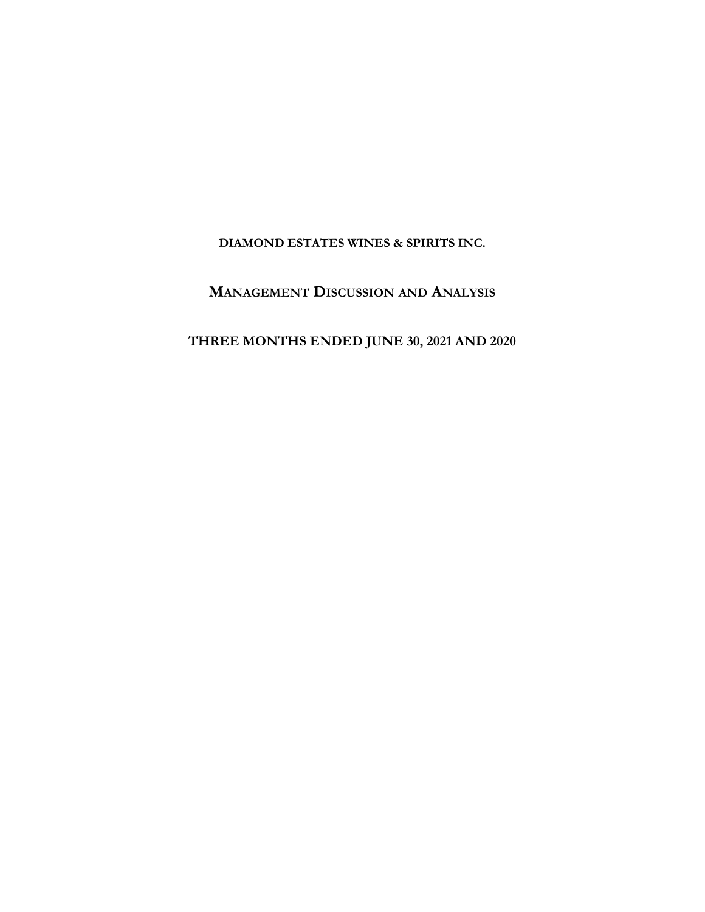**DIAMOND ESTATES WINES & SPIRITS INC.**

## **MANAGEMENT DISCUSSION AND ANALYSIS**

## **THREE MONTHS ENDED JUNE 30, 2021 AND 2020**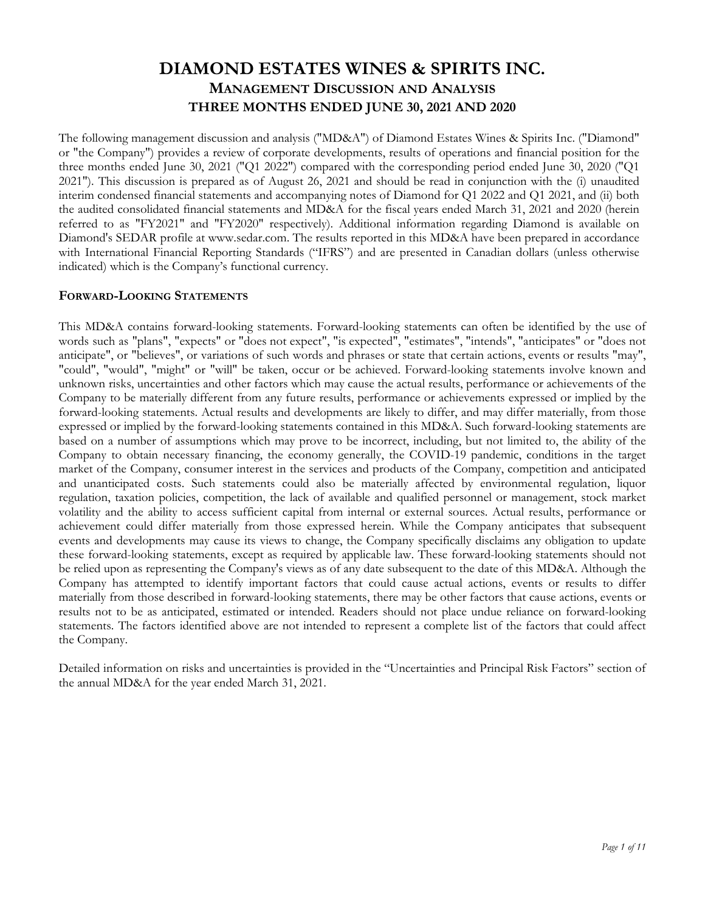The following management discussion and analysis ("MD&A") of Diamond Estates Wines & Spirits Inc. ("Diamond" or "the Company") provides a review of corporate developments, results of operations and financial position for the three months ended June 30, 2021 ("Q1 2022") compared with the corresponding period ended June 30, 2020 ("Q1 2021"). This discussion is prepared as of August 26, 2021 and should be read in conjunction with the (i) unaudited interim condensed financial statements and accompanying notes of Diamond for Q1 2022 and Q1 2021, and (ii) both the audited consolidated financial statements and MD&A for the fiscal years ended March 31, 2021 and 2020 (herein referred to as "FY2021" and "FY2020" respectively). Additional information regarding Diamond is available on Diamond's SEDAR profile at www.sedar.com. The results reported in this MD&A have been prepared in accordance with International Financial Reporting Standards ("IFRS") and are presented in Canadian dollars (unless otherwise indicated) which is the Company's functional currency.

### **FORWARD-LOOKING STATEMENTS**

This MD&A contains forward-looking statements. Forward-looking statements can often be identified by the use of words such as "plans", "expects" or "does not expect", "is expected", "estimates", "intends", "anticipates" or "does not anticipate", or "believes", or variations of such words and phrases or state that certain actions, events or results "may", "could", "would", "might" or "will" be taken, occur or be achieved. Forward-looking statements involve known and unknown risks, uncertainties and other factors which may cause the actual results, performance or achievements of the Company to be materially different from any future results, performance or achievements expressed or implied by the forward-looking statements. Actual results and developments are likely to differ, and may differ materially, from those expressed or implied by the forward-looking statements contained in this MD&A. Such forward-looking statements are based on a number of assumptions which may prove to be incorrect, including, but not limited to, the ability of the Company to obtain necessary financing, the economy generally, the COVID-19 pandemic, conditions in the target market of the Company, consumer interest in the services and products of the Company, competition and anticipated and unanticipated costs. Such statements could also be materially affected by environmental regulation, liquor regulation, taxation policies, competition, the lack of available and qualified personnel or management, stock market volatility and the ability to access sufficient capital from internal or external sources. Actual results, performance or achievement could differ materially from those expressed herein. While the Company anticipates that subsequent events and developments may cause its views to change, the Company specifically disclaims any obligation to update these forward-looking statements, except as required by applicable law. These forward-looking statements should not be relied upon as representing the Company's views as of any date subsequent to the date of this MD&A. Although the Company has attempted to identify important factors that could cause actual actions, events or results to differ materially from those described in forward-looking statements, there may be other factors that cause actions, events or results not to be as anticipated, estimated or intended. Readers should not place undue reliance on forward-looking statements. The factors identified above are not intended to represent a complete list of the factors that could affect the Company.

Detailed information on risks and uncertainties is provided in the "Uncertainties and Principal Risk Factors" section of the annual MD&A for the year ended March 31, 2021.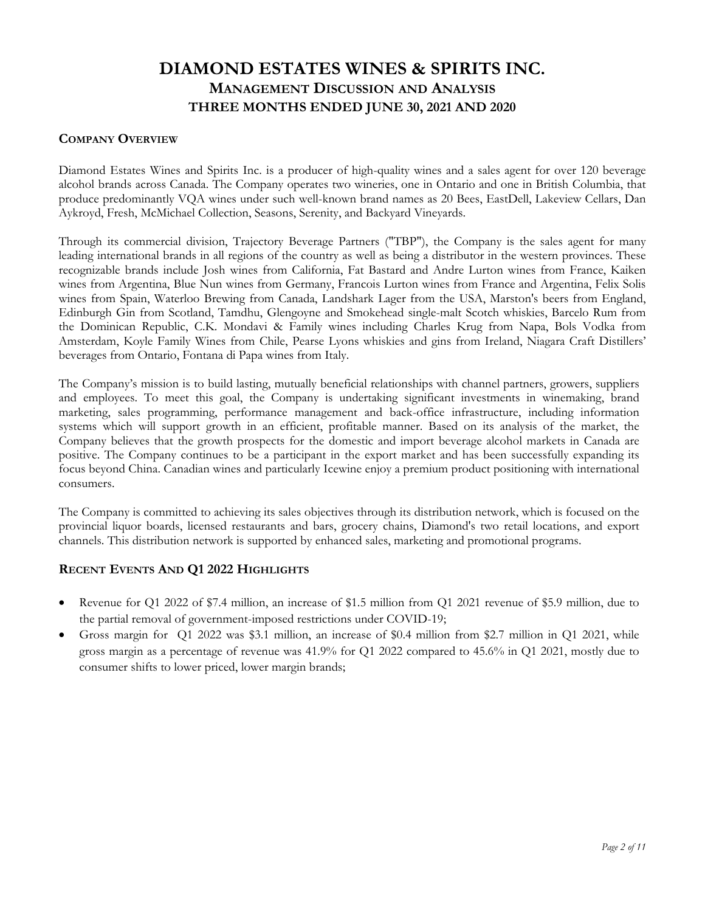### **COMPANY OVERVIEW**

Diamond Estates Wines and Spirits Inc. is a producer of high-quality wines and a sales agent for over 120 beverage alcohol brands across Canada. The Company operates two wineries, one in Ontario and one in British Columbia, that produce predominantly VQA wines under such well-known brand names as 20 Bees, EastDell, Lakeview Cellars, Dan Aykroyd, Fresh, McMichael Collection, Seasons, Serenity, and Backyard Vineyards.

Through its commercial division, Trajectory Beverage Partners ("TBP"), the Company is the sales agent for many leading international brands in all regions of the country as well as being a distributor in the western provinces. These recognizable brands include Josh wines from California, Fat Bastard and Andre Lurton wines from France, Kaiken wines from Argentina, Blue Nun wines from Germany, Francois Lurton wines from France and Argentina, Felix Solis wines from Spain, Waterloo Brewing from Canada, Landshark Lager from the USA, Marston's beers from England, Edinburgh Gin from Scotland, Tamdhu, Glengoyne and Smokehead single-malt Scotch whiskies, Barcelo Rum from the Dominican Republic, C.K. Mondavi & Family wines including Charles Krug from Napa, Bols Vodka from Amsterdam, Koyle Family Wines from Chile, Pearse Lyons whiskies and gins from Ireland, Niagara Craft Distillers' beverages from Ontario, Fontana di Papa wines from Italy.

The Company's mission is to build lasting, mutually beneficial relationships with channel partners, growers, suppliers and employees. To meet this goal, the Company is undertaking significant investments in winemaking, brand marketing, sales programming, performance management and back-office infrastructure, including information systems which will support growth in an efficient, profitable manner. Based on its analysis of the market, the Company believes that the growth prospects for the domestic and import beverage alcohol markets in Canada are positive. The Company continues to be a participant in the export market and has been successfully expanding its focus beyond China. Canadian wines and particularly Icewine enjoy a premium product positioning with international consumers.

The Company is committed to achieving its sales objectives through its distribution network, which is focused on the provincial liquor boards, licensed restaurants and bars, grocery chains, Diamond's two retail locations, and export channels. This distribution network is supported by enhanced sales, marketing and promotional programs.

### **RECENT EVENTS AND Q1 2022 HIGHLIGHTS**

- Revenue for Q1 2022 of \$7.4 million, an increase of \$1.5 million from Q1 2021 revenue of \$5.9 million, due to the partial removal of government-imposed restrictions under COVID-19;
- Gross margin for Q1 2022 was \$3.1 million, an increase of \$0.4 million from \$2.7 million in Q1 2021, while gross margin as a percentage of revenue was 41.9% for Q1 2022 compared to 45.6% in Q1 2021, mostly due to consumer shifts to lower priced, lower margin brands;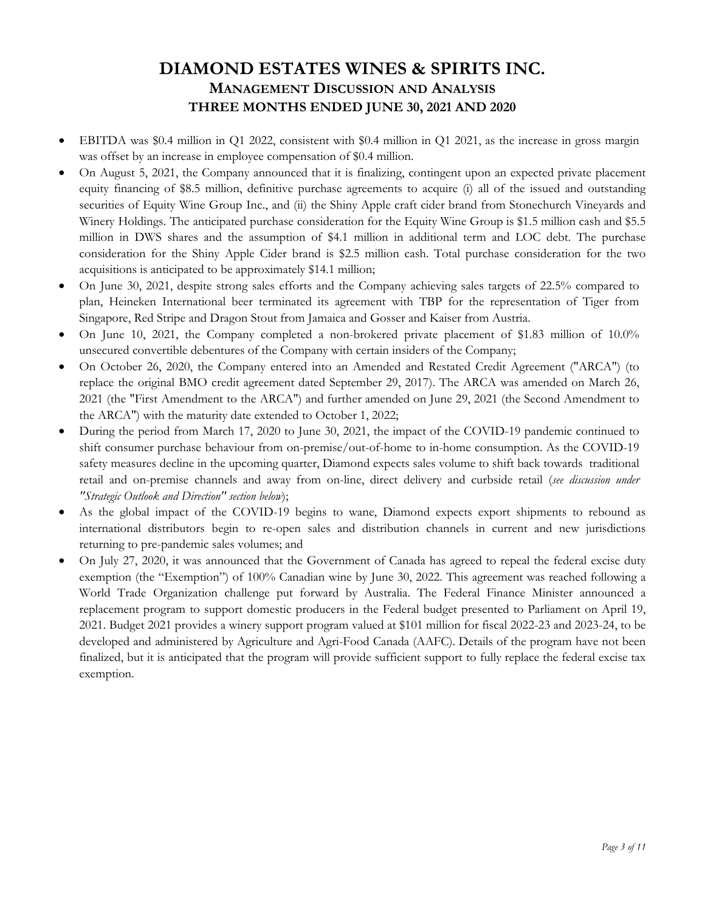- EBITDA was \$0.4 million in Q1 2022, consistent with \$0.4 million in Q1 2021, as the increase in gross margin was offset by an increase in employee compensation of \$0.4 million.
- On August 5, 2021, the Company announced that it is finalizing, contingent upon an expected private placement equity financing of \$8.5 million, definitive purchase agreements to acquire (i) all of the issued and outstanding securities of Equity Wine Group Inc., and (ii) the Shiny Apple craft cider brand from Stonechurch Vineyards and Winery Holdings. The anticipated purchase consideration for the Equity Wine Group is \$1.5 million cash and \$5.5 million in DWS shares and the assumption of \$4.1 million in additional term and LOC debt. The purchase consideration for the Shiny Apple Cider brand is \$2.5 million cash. Total purchase consideration for the two acquisitions is anticipated to be approximately \$14.1 million;
- On June 30, 2021, despite strong sales efforts and the Company achieving sales targets of 22.5% compared to plan, Heineken International beer terminated its agreement with TBP for the representation of Tiger from Singapore, Red Stripe and Dragon Stout from Jamaica and Gosser and Kaiser from Austria.
- On June 10, 2021, the Company completed a non-brokered private placement of \$1.83 million of 10.0% unsecured convertible debentures of the Company with certain insiders of the Company;
- On October 26, 2020, the Company entered into an Amended and Restated Credit Agreement ("ARCA") (to replace the original BMO credit agreement dated September 29, 2017). The ARCA was amended on March 26, 2021 (the "First Amendment to the ARCA") and further amended on June 29, 2021 (the Second Amendment to the ARCA") with the maturity date extended to October 1, 2022;
- During the period from March 17, 2020 to June 30, 2021, the impact of the COVID-19 pandemic continued to shift consumer purchase behaviour from on-premise/out-of-home to in-home consumption. As the COVID-19 safety measures decline in the upcoming quarter, Diamond expects sales volume to shift back towards traditional retail and on-premise channels and away from on-line, direct delivery and curbside retail (*see discussion under "Strategic Outlook and Direction" section below*);
- As the global impact of the COVID-19 begins to wane, Diamond expects export shipments to rebound as international distributors begin to re-open sales and distribution channels in current and new jurisdictions returning to pre-pandemic sales volumes; and
- On July 27, 2020, it was announced that the Government of Canada has agreed to repeal the federal excise duty exemption (the "Exemption") of 100% Canadian wine by June 30, 2022. This agreement was reached following a World Trade Organization challenge put forward by Australia. The Federal Finance Minister announced a replacement program to support domestic producers in the Federal budget presented to Parliament on April 19, 2021. Budget 2021 provides a winery support program valued at \$101 million for fiscal 2022-23 and 2023-24, to be developed and administered by Agriculture and Agri-Food Canada (AAFC). Details of the program have not been finalized, but it is anticipated that the program will provide sufficient support to fully replace the federal excise tax exemption.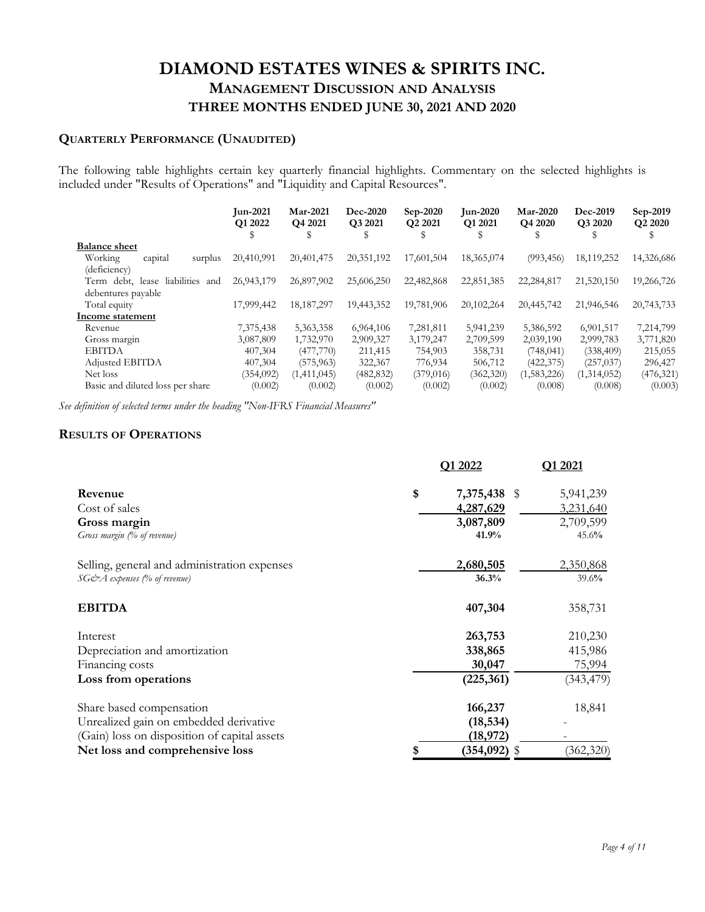## **QUARTERLY PERFORMANCE (UNAUDITED)**

The following table highlights certain key quarterly financial highlights. Commentary on the selected highlights is included under "Results of Operations" and "Liquidity and Capital Resources".

| <b>Jun-2021</b><br>Q1 2022<br>J | <b>Mar-2021</b><br>Q4 2021<br>э | Dec-2020<br>Q3 2021<br>S | Sep-2020<br>Q <sub>2</sub> 2021 | <b>Jun-2020</b><br>O <sub>1</sub> 2021 | <b>Mar-2020</b><br>Q4 2020 | Dec-2019<br>Q3 2020<br>S | Sep-2019<br>Q2 2020 |
|---------------------------------|---------------------------------|--------------------------|---------------------------------|----------------------------------------|----------------------------|--------------------------|---------------------|
|                                 |                                 |                          |                                 |                                        |                            |                          |                     |
| 20,410,991                      | 20,401,475                      | 20,351,192               | 17,601,504                      | 18,365,074                             | (993, 456)                 | 18,119,252               | 14,326,686          |
|                                 |                                 |                          |                                 |                                        |                            |                          |                     |
| 26,943,179                      | 26,897,902                      | 25,606,250               | 22,482,868                      | 22,851,385                             | 22,284,817                 | 21,520,150               | 19,266,726          |
|                                 |                                 |                          |                                 |                                        |                            |                          |                     |
| 17,999,442                      | 18, 187, 297                    | 19,443,352               | 19,781,906                      | 20,102,264                             | 20,445,742                 | 21,946,546               | 20,743,733          |
|                                 |                                 |                          |                                 |                                        |                            |                          |                     |
| 7,375,438                       | 5,363,358                       | 6,964,106                | 7,281,811                       | 5,941,239                              | 5,386,592                  | 6,901,517                | 7,214,799           |
| 3,087,809                       | 1,732,970                       | 2,909,327                | 3,179,247                       | 2,709,599                              | 2,039,190                  | 2,999,783                | 3,771,820           |
| 407,304                         | (477,770)                       | 211,415                  | 754,903                         | 358,731                                | (748, 041)                 | (338, 409)               | 215,055             |
| 407,304                         | (575, 963)                      | 322,367                  | 776,934                         | 506,712                                | (422, 375)                 | (257, 037)               | 296,427             |
| (354, 092)                      | (1,411,045)                     | (482, 832)               | (379, 016)                      | (362, 320)                             | (1,583,226)                | (1,314,052)              | (476, 321)          |
| (0.002)                         | (0.002)                         | (0.002)                  | (0.002)                         | (0.002)                                | (0.008)                    | (0.008)                  | (0.003)             |
|                                 |                                 |                          |                                 |                                        |                            |                          |                     |

*See definition of selected terms under the heading "Non-IFRS Financial Measures"* 

### **RESULTS OF OPERATIONS**

|                                              | Q1 2022               | Q1 2021    |
|----------------------------------------------|-----------------------|------------|
| Revenue                                      | \$<br>7,375,438 \$    | 5,941,239  |
| Cost of sales                                | 4,287,629             | 3,231,640  |
| Gross margin                                 | 3,087,809             | 2,709,599  |
| Gross margin (% of revenue)                  | 41.9%                 | 45.6%      |
| Selling, general and administration expenses | 2,680,505             | 2,350,868  |
| SG&A expenses (% of revenue)                 | 36.3%                 | 39.6%      |
| <b>EBITDA</b>                                | 407,304               | 358,731    |
| Interest                                     | 263,753               | 210,230    |
| Depreciation and amortization                | 338,865               | 415,986    |
| Financing costs                              | 30,047                | 75,994     |
| Loss from operations                         | (225, 361)            | (343, 479) |
| Share based compensation                     | 166,237               | 18,841     |
| Unrealized gain on embedded derivative       | (18, 534)             |            |
| (Gain) loss on disposition of capital assets | (18,972)              |            |
| Net loss and comprehensive loss              | \$<br>$(354, 092)$ \$ | (362, 320) |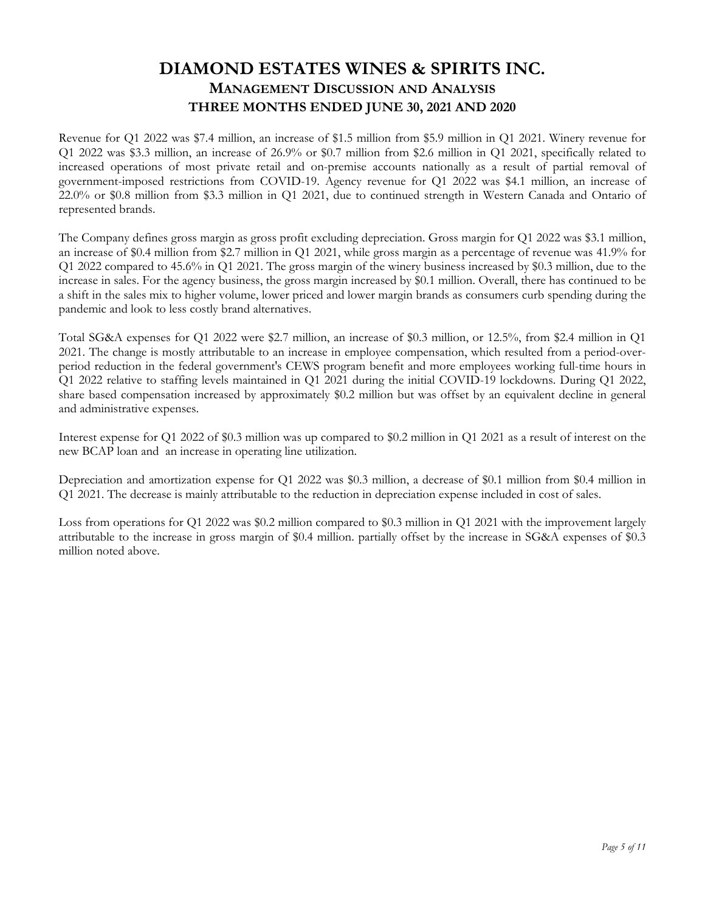Revenue for Q1 2022 was \$7.4 million, an increase of \$1.5 million from \$5.9 million in Q1 2021. Winery revenue for Q1 2022 was \$3.3 million, an increase of 26.9% or \$0.7 million from \$2.6 million in Q1 2021, specifically related to increased operations of most private retail and on-premise accounts nationally as a result of partial removal of government-imposed restrictions from COVID-19. Agency revenue for Q1 2022 was \$4.1 million, an increase of 22.0% or \$0.8 million from \$3.3 million in Q1 2021, due to continued strength in Western Canada and Ontario of represented brands.

The Company defines gross margin as gross profit excluding depreciation. Gross margin for Q1 2022 was \$3.1 million, an increase of \$0.4 million from \$2.7 million in Q1 2021, while gross margin as a percentage of revenue was 41.9% for Q1 2022 compared to 45.6% in Q1 2021. The gross margin of the winery business increased by \$0.3 million, due to the increase in sales. For the agency business, the gross margin increased by \$0.1 million. Overall, there has continued to be a shift in the sales mix to higher volume, lower priced and lower margin brands as consumers curb spending during the pandemic and look to less costly brand alternatives.

Total SG&A expenses for Q1 2022 were \$2.7 million, an increase of \$0.3 million, or 12.5%, from \$2.4 million in Q1 2021. The change is mostly attributable to an increase in employee compensation, which resulted from a period-overperiod reduction in the federal government's CEWS program benefit and more employees working full-time hours in Q1 2022 relative to staffing levels maintained in Q1 2021 during the initial COVID-19 lockdowns. During Q1 2022, share based compensation increased by approximately \$0.2 million but was offset by an equivalent decline in general and administrative expenses.

Interest expense for Q1 2022 of \$0.3 million was up compared to \$0.2 million in Q1 2021 as a result of interest on the new BCAP loan and an increase in operating line utilization.

Depreciation and amortization expense for Q1 2022 was \$0.3 million, a decrease of \$0.1 million from \$0.4 million in Q1 2021. The decrease is mainly attributable to the reduction in depreciation expense included in cost of sales.

Loss from operations for Q1 2022 was \$0.2 million compared to \$0.3 million in Q1 2021 with the improvement largely attributable to the increase in gross margin of \$0.4 million. partially offset by the increase in SG&A expenses of \$0.3 million noted above.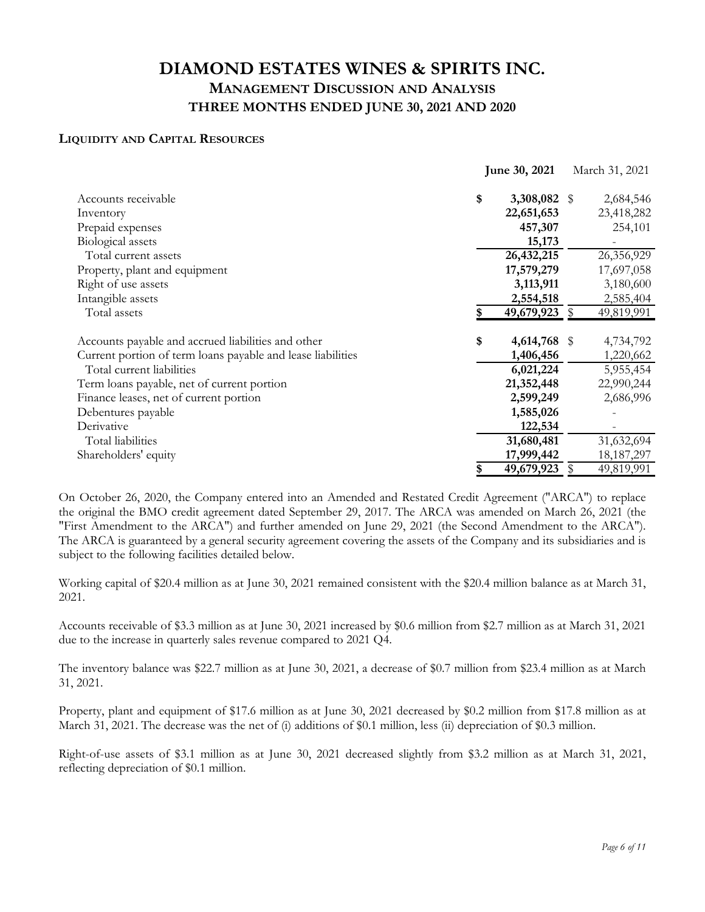### **LIQUIDITY AND CAPITAL RESOURCES**

|                                                             | June 30, 2021 |               | March 31, 2021 |              |
|-------------------------------------------------------------|---------------|---------------|----------------|--------------|
| Accounts receivable                                         | \$            | 3,308,082 \$  |                | 2,684,546    |
| Inventory                                                   |               | 22,651,653    |                | 23,418,282   |
| Prepaid expenses                                            |               | 457,307       |                | 254,101      |
| Biological assets                                           |               | 15,173        |                |              |
| Total current assets                                        |               | 26,432,215    |                | 26,356,929   |
| Property, plant and equipment                               |               | 17,579,279    |                | 17,697,058   |
| Right of use assets                                         |               | 3,113,911     |                | 3,180,600    |
| Intangible assets                                           |               | 2,554,518     |                | 2,585,404    |
| Total assets                                                |               | 49,679,923 \$ |                | 49,819,991   |
| Accounts payable and accrued liabilities and other          | \$            | 4,614,768 \$  |                | 4,734,792    |
| Current portion of term loans payable and lease liabilities |               | 1,406,456     |                | 1,220,662    |
| Total current liabilities                                   |               | 6,021,224     |                | 5,955,454    |
| Term loans payable, net of current portion                  |               | 21,352,448    |                | 22,990,244   |
| Finance leases, net of current portion                      |               | 2,599,249     |                | 2,686,996    |
| Debentures payable                                          |               | 1,585,026     |                |              |
| Derivative                                                  |               | 122,534       |                |              |
| Total liabilities                                           |               | 31,680,481    |                | 31,632,694   |
| Shareholders' equity                                        |               | 17,999,442    |                | 18, 187, 297 |
|                                                             | S             | 49,679,923    | \$             | 49,819,991   |

On October 26, 2020, the Company entered into an Amended and Restated Credit Agreement ("ARCA") to replace the original the BMO credit agreement dated September 29, 2017. The ARCA was amended on March 26, 2021 (the "First Amendment to the ARCA") and further amended on June 29, 2021 (the Second Amendment to the ARCA"). The ARCA is guaranteed by a general security agreement covering the assets of the Company and its subsidiaries and is subject to the following facilities detailed below.

Working capital of \$20.4 million as at June 30, 2021 remained consistent with the \$20.4 million balance as at March 31, 2021.

Accounts receivable of \$3.3 million as at June 30, 2021 increased by \$0.6 million from \$2.7 million as at March 31, 2021 due to the increase in quarterly sales revenue compared to 2021 Q4.

The inventory balance was \$22.7 million as at June 30, 2021, a decrease of \$0.7 million from \$23.4 million as at March 31, 2021.

Property, plant and equipment of \$17.6 million as at June 30, 2021 decreased by \$0.2 million from \$17.8 million as at March 31, 2021. The decrease was the net of (i) additions of \$0.1 million, less (ii) depreciation of \$0.3 million.

Right-of-use assets of \$3.1 million as at June 30, 2021 decreased slightly from \$3.2 million as at March 31, 2021, reflecting depreciation of \$0.1 million.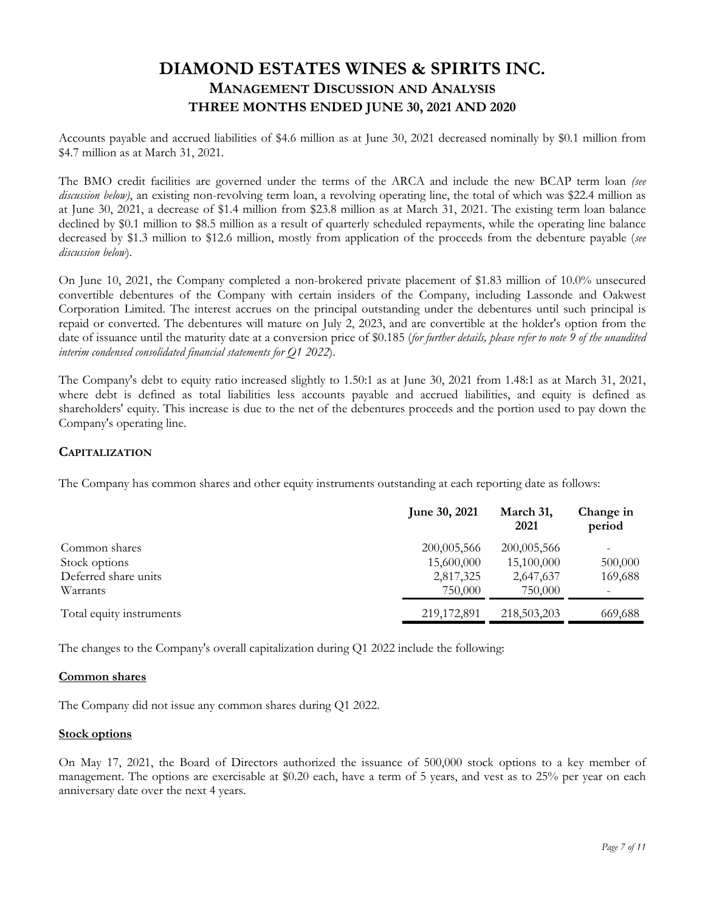Accounts payable and accrued liabilities of \$4.6 million as at June 30, 2021 decreased nominally by \$0.1 million from \$4.7 million as at March 31, 2021.

The BMO credit facilities are governed under the terms of the ARCA and include the new BCAP term loan *(see discussion below)*, an existing non-revolving term loan, a revolving operating line, the total of which was \$22.4 million as at June 30, 2021, a decrease of \$1.4 million from \$23.8 million as at March 31, 2021. The existing term loan balance declined by \$0.1 million to \$8.5 million as a result of quarterly scheduled repayments, while the operating line balance decreased by \$1.3 million to \$12.6 million, mostly from application of the proceeds from the debenture payable (*see discussion below*).

On June 10, 2021, the Company completed a non-brokered private placement of \$1.83 million of 10.0% unsecured convertible debentures of the Company with certain insiders of the Company, including Lassonde and Oakwest Corporation Limited. The interest accrues on the principal outstanding under the debentures until such principal is repaid or converted. The debentures will mature on July 2, 2023, and are convertible at the holder's option from the date of issuance until the maturity date at a conversion price of \$0.185 (*for further details, please refer to note 9 of the unaudited interim condensed consolidated financial statements for Q1 2022*).

The Company's debt to equity ratio increased slightly to 1.50:1 as at June 30, 2021 from 1.48:1 as at March 31, 2021, where debt is defined as total liabilities less accounts payable and accrued liabilities, and equity is defined as shareholders' equity. This increase is due to the net of the debentures proceeds and the portion used to pay down the Company's operating line.

### **CAPITALIZATION**

The Company has common shares and other equity instruments outstanding at each reporting date as follows:

|                          | <b>June 30, 2021</b> | March 31,<br>2021 | Change in<br>period |
|--------------------------|----------------------|-------------------|---------------------|
| Common shares            | 200,005,566          | 200,005,566       | -                   |
| Stock options            | 15,600,000           | 15,100,000        | 500,000             |
| Deferred share units     | 2,817,325            | 2,647,637         | 169,688             |
| Warrants                 | 750,000              | 750,000           |                     |
| Total equity instruments | 219,172,891          | 218,503,203       | 669,688             |

The changes to the Company's overall capitalization during Q1 2022 include the following:

#### **Common shares**

The Company did not issue any common shares during Q1 2022.

#### **Stock options**

On May 17, 2021, the Board of Directors authorized the issuance of 500,000 stock options to a key member of management. The options are exercisable at \$0.20 each, have a term of 5 years, and vest as to 25% per year on each anniversary date over the next 4 years.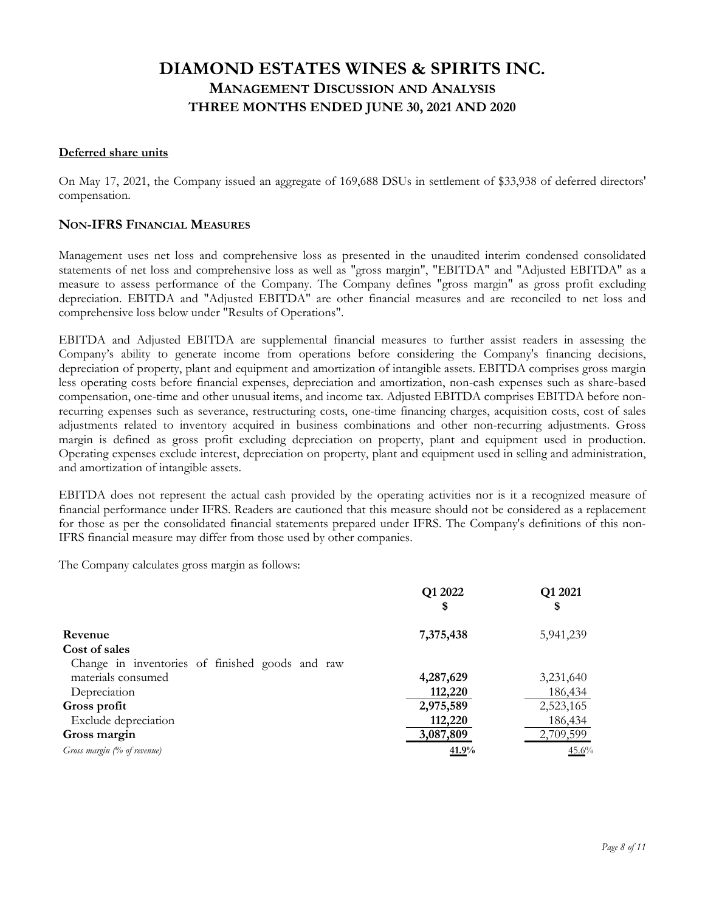#### **Deferred share units**

On May 17, 2021, the Company issued an aggregate of 169,688 DSUs in settlement of \$33,938 of deferred directors' compensation.

### **NON-IFRS FINANCIAL MEASURES**

Management uses net loss and comprehensive loss as presented in the unaudited interim condensed consolidated statements of net loss and comprehensive loss as well as "gross margin", "EBITDA" and "Adjusted EBITDA" as a measure to assess performance of the Company. The Company defines "gross margin" as gross profit excluding depreciation. EBITDA and "Adjusted EBITDA" are other financial measures and are reconciled to net loss and comprehensive loss below under "Results of Operations".

EBITDA and Adjusted EBITDA are supplemental financial measures to further assist readers in assessing the Company's ability to generate income from operations before considering the Company's financing decisions, depreciation of property, plant and equipment and amortization of intangible assets. EBITDA comprises gross margin less operating costs before financial expenses, depreciation and amortization, non-cash expenses such as share-based compensation, one-time and other unusual items, and income tax. Adjusted EBITDA comprises EBITDA before nonrecurring expenses such as severance, restructuring costs, one-time financing charges, acquisition costs, cost of sales adjustments related to inventory acquired in business combinations and other non-recurring adjustments. Gross margin is defined as gross profit excluding depreciation on property, plant and equipment used in production. Operating expenses exclude interest, depreciation on property, plant and equipment used in selling and administration, and amortization of intangible assets.

EBITDA does not represent the actual cash provided by the operating activities nor is it a recognized measure of financial performance under IFRS. Readers are cautioned that this measure should not be considered as a replacement for those as per the consolidated financial statements prepared under IFRS. The Company's definitions of this non-IFRS financial measure may differ from those used by other companies.

The Company calculates gross margin as follows:

|                                                 | Q1 2022<br>\$ | Q1 2021<br>\$ |
|-------------------------------------------------|---------------|---------------|
| Revenue                                         | 7,375,438     | 5,941,239     |
| Cost of sales                                   |               |               |
| Change in inventories of finished goods and raw |               |               |
| materials consumed                              | 4,287,629     | 3,231,640     |
| Depreciation                                    | 112,220       | 186,434       |
| Gross profit                                    | 2,975,589     | 2,523,165     |
| Exclude depreciation                            | 112,220       | 186,434       |
| Gross margin                                    | 3,087,809     | 2,709,599     |
| Gross margin (% of revenue)                     | 41.9%         | 45.6%         |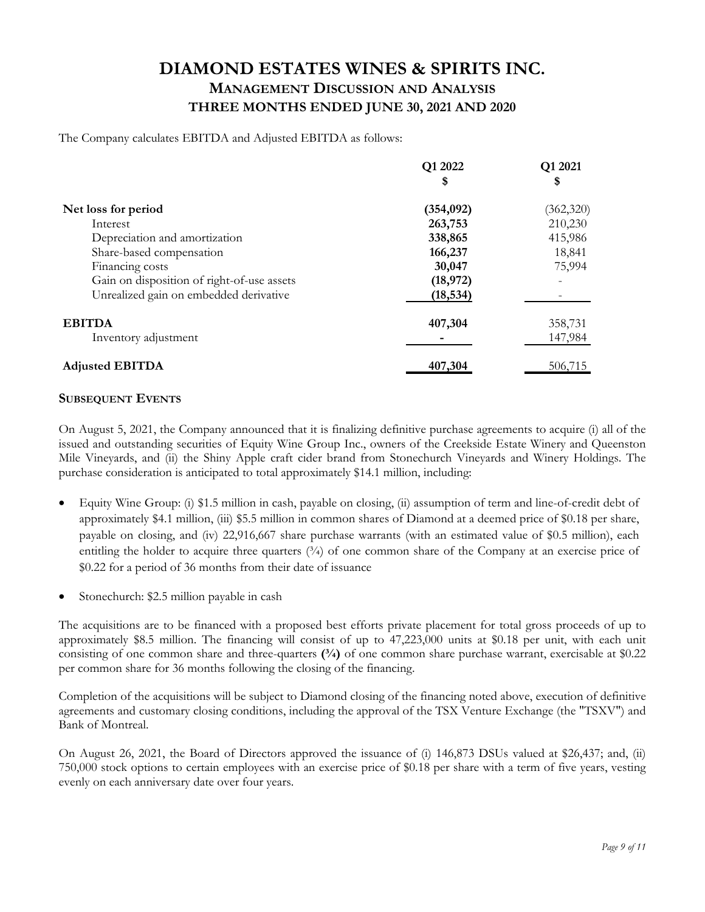The Company calculates EBITDA and Adjusted EBITDA as follows:

|                                            | Q1 2022<br>\$ | Q1 2021<br>\$ |
|--------------------------------------------|---------------|---------------|
| Net loss for period                        | (354, 092)    | (362, 320)    |
| Interest                                   | 263,753       | 210,230       |
| Depreciation and amortization              | 338,865       | 415,986       |
| Share-based compensation                   | 166,237       | 18,841        |
| Financing costs                            | 30,047        | 75,994        |
| Gain on disposition of right-of-use assets | (18,972)      |               |
| Unrealized gain on embedded derivative     | (18, 534)     |               |
| <b>EBITDA</b>                              | 407,304       | 358,731       |
| Inventory adjustment                       |               | 147,984       |
| <b>Adjusted EBITDA</b>                     | 407,304       | 506,715       |

### **SUBSEQUENT EVENTS**

On August 5, 2021, the Company announced that it is finalizing definitive purchase agreements to acquire (i) all of the issued and outstanding securities of Equity Wine Group Inc., owners of the Creekside Estate Winery and Queenston Mile Vineyards, and (ii) the Shiny Apple craft cider brand from Stonechurch Vineyards and Winery Holdings. The purchase consideration is anticipated to total approximately \$14.1 million, including:

- Equity Wine Group: (i) \$1.5 million in cash, payable on closing, (ii) assumption of term and line-of-credit debt of approximately \$4.1 million, (iii) \$5.5 million in common shares of Diamond at a deemed price of \$0.18 per share, payable on closing, and (iv) 22,916,667 share purchase warrants (with an estimated value of \$0.5 million), each entitling the holder to acquire three quarters (3/4) of one common share of the Company at an exercise price of \$0.22 for a period of 36 months from their date of issuance
- Stonechurch: \$2.5 million payable in cash

The acquisitions are to be financed with a proposed best efforts private placement for total gross proceeds of up to approximately \$8.5 million. The financing will consist of up to 47,223,000 units at \$0.18 per unit, with each unit consisting of one common share and three-quarters **(¾)** of one common share purchase warrant, exercisable at \$0.22 per common share for 36 months following the closing of the financing.

Completion of the acquisitions will be subject to Diamond closing of the financing noted above, execution of definitive agreements and customary closing conditions, including the approval of the TSX Venture Exchange (the "TSXV") and Bank of Montreal.

On August 26, 2021, the Board of Directors approved the issuance of (i) 146,873 DSUs valued at \$26,437; and, (ii) 750,000 stock options to certain employees with an exercise price of \$0.18 per share with a term of five years, vesting evenly on each anniversary date over four years.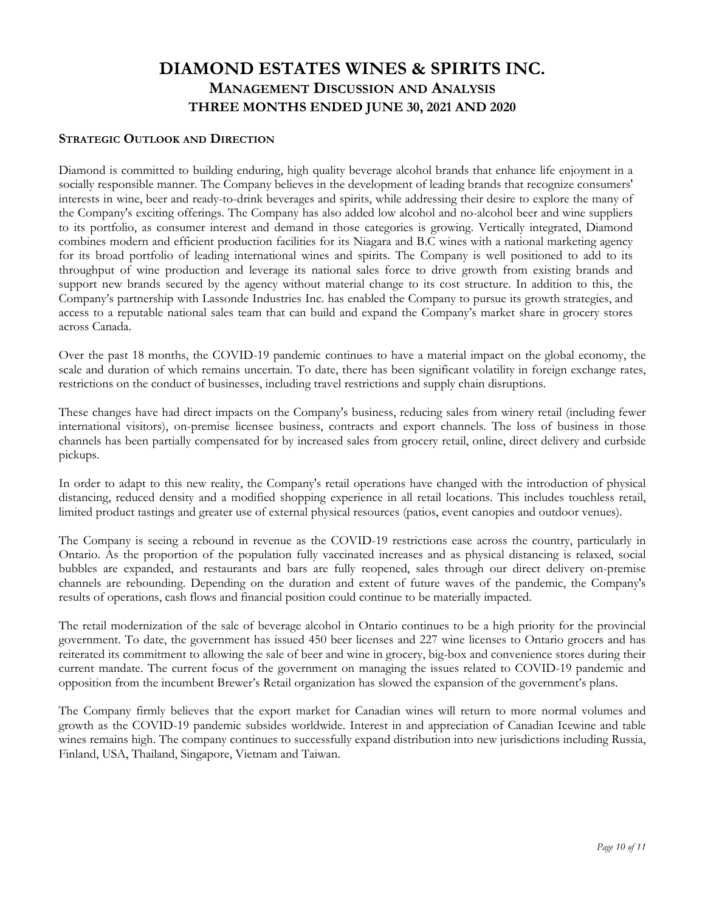### **STRATEGIC OUTLOOK AND DIRECTION**

Diamond is committed to building enduring, high quality beverage alcohol brands that enhance life enjoyment in a socially responsible manner. The Company believes in the development of leading brands that recognize consumers' interests in wine, beer and ready-to-drink beverages and spirits, while addressing their desire to explore the many of the Company's exciting offerings. The Company has also added low alcohol and no-alcohol beer and wine suppliers to its portfolio, as consumer interest and demand in those categories is growing. Vertically integrated, Diamond combines modern and efficient production facilities for its Niagara and B.C wines with a national marketing agency for its broad portfolio of leading international wines and spirits. The Company is well positioned to add to its throughput of wine production and leverage its national sales force to drive growth from existing brands and support new brands secured by the agency without material change to its cost structure. In addition to this, the Company's partnership with Lassonde Industries Inc. has enabled the Company to pursue its growth strategies, and access to a reputable national sales team that can build and expand the Company's market share in grocery stores across Canada.

Over the past 18 months, the COVID-19 pandemic continues to have a material impact on the global economy, the scale and duration of which remains uncertain. To date, there has been significant volatility in foreign exchange rates, restrictions on the conduct of businesses, including travel restrictions and supply chain disruptions.

These changes have had direct impacts on the Company's business, reducing sales from winery retail (including fewer international visitors), on-premise licensee business, contracts and export channels. The loss of business in those channels has been partially compensated for by increased sales from grocery retail, online, direct delivery and curbside pickups.

In order to adapt to this new reality, the Company's retail operations have changed with the introduction of physical distancing, reduced density and a modified shopping experience in all retail locations. This includes touchless retail, limited product tastings and greater use of external physical resources (patios, event canopies and outdoor venues).

The Company is seeing a rebound in revenue as the COVID-19 restrictions ease across the country, particularly in Ontario. As the proportion of the population fully vaccinated increases and as physical distancing is relaxed, social bubbles are expanded, and restaurants and bars are fully reopened, sales through our direct delivery on-premise channels are rebounding. Depending on the duration and extent of future waves of the pandemic, the Company's results of operations, cash flows and financial position could continue to be materially impacted.

The retail modernization of the sale of beverage alcohol in Ontario continues to be a high priority for the provincial government. To date, the government has issued 450 beer licenses and 227 wine licenses to Ontario grocers and has reiterated its commitment to allowing the sale of beer and wine in grocery, big-box and convenience stores during their current mandate. The current focus of the government on managing the issues related to COVID-19 pandemic and opposition from the incumbent Brewer's Retail organization has slowed the expansion of the government's plans.

The Company firmly believes that the export market for Canadian wines will return to more normal volumes and growth as the COVID-19 pandemic subsides worldwide. Interest in and appreciation of Canadian Icewine and table wines remains high. The company continues to successfully expand distribution into new jurisdictions including Russia, Finland, USA, Thailand, Singapore, Vietnam and Taiwan.